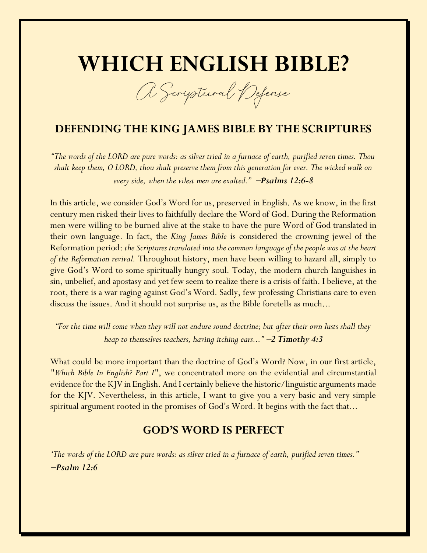# **WHICH ENGLISH BIBLE?**

A Scriptural Defense

# **DEFENDING THE KING JAMES BIBLE BY THE SCRIPTURES**

*"The words of the LORD are pure words: as silver tried in a furnace of earth, purified seven times. Thou shalt keep them, O LORD, thou shalt preserve them from this generation for ever. The wicked walk on every side, when the vilest men are exalted."* <sup>−</sup>*Psalms 12:6-8*

In this article, we consider God's Word for us, preserved in English. As we know, in the first century men risked their lives to faithfully declare the Word of God. During the Reformation men were willing to be burned alive at the stake to have the pure Word of God translated in their own language. In fact, the *King James Bible* is considered the crowning jewel of the Reformation period: *the Scriptures translated into the common language of the people was at the heart of the Reformation revival.* Throughout history, men have been willing to hazard all, simply to give God's Word to some spiritually hungry soul. Today, the modern church languishes in sin, unbelief, and apostasy and yet few seem to realize there is a crisis of faith. I believe, at the root, there is a war raging against God's Word. Sadly, few professing Christians care to even discuss the issues. And it should not surprise us, as the Bible foretells as much...

*"For the time will come when they will not endure sound doctrine; but after their own lusts shall they heap to themselves teachers, having itching ears..."* <sup>−</sup>*2 Timothy 4:3*

What could be more important than the doctrine of God's Word? Now, in our first article, *"Which Bible In English? Part I"*, we concentrated more on the evidential and circumstantial evidence for the KJV in English. And I certainly believe the historic/linguistic arguments made for the KJV. Nevertheless, in this article, I want to give you a very basic and very simple spiritual argument rooted in the promises of God's Word. It begins with the fact that...

## **GOD'S WORD IS PERFECT**

*'The words of the LORD are pure words: as silver tried in a furnace of earth, purified seven times."* <sup>−</sup>*Psalm 12:6*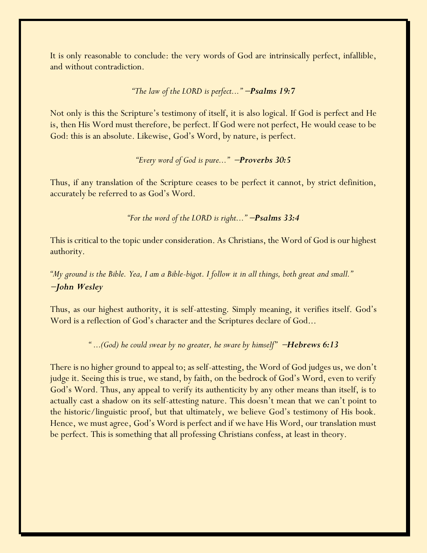It is only reasonable to conclude: the very words of God are intrinsically perfect, infallible, and without contradiction.

#### *"The law of the LORD is perfect..."* <sup>−</sup>*Psalms 19:7*

Not only is this the Scripture's testimony of itself, it is also logical. If God is perfect and He is, then His Word must therefore, be perfect. If God were not perfect, He would cease to be God: this is an absolute. Likewise, God's Word, by nature, is perfect.

*"Every word of God is pure..."* <sup>−</sup>*Proverbs 30:5*

Thus, if any translation of the Scripture ceases to be perfect it cannot, by strict definition, accurately be referred to as God's Word.

*"For the word of the LORD is right..."* <sup>−</sup>*Psalms 33:4*

This is critical to the topic under consideration. As Christians, the Word of God is our highest authority.

*"My ground is the Bible. Yea, I am a Bible-bigot. I follow it in all things, both great and small."* <sup>−</sup>*John Wesley*

Thus, as our highest authority, it is self-attesting. Simply meaning, it verifies itself. God's Word is a reflection of God's character and the Scriptures declare of God...

*" ...(God) he could swear by no greater, he sware by himself"* <sup>−</sup>*Hebrews 6:13*

There is no higher ground to appeal to; as self-attesting, the Word of God judges us, we don't judge it. Seeing this is true, we stand, by faith, on the bedrock of God's Word, even to verify God's Word. Thus, any appeal to verify its authenticity by any other means than itself, is to actually cast a shadow on its self-attesting nature. This doesn't mean that we can't point to the historic/linguistic proof, but that ultimately, we believe God's testimony of His book. Hence, we must agree, God's Word is perfect and if we have His Word, our translation must be perfect. This is something that all professing Christians confess, at least in theory.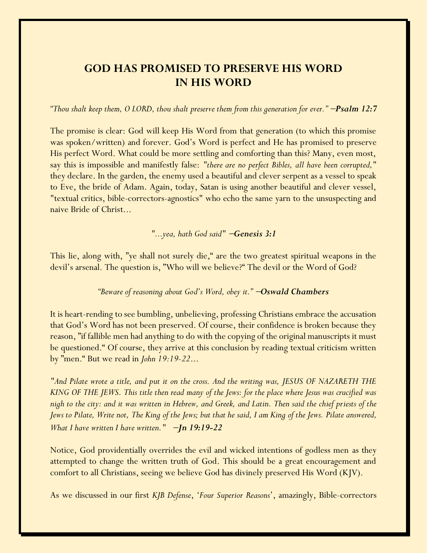# **GOD HAS PROMISED TO PRESERVE HIS WORD IN HIS WORD**

*"Thou shalt keep them, O LORD, thou shalt preserve them from this generation for ever."* <sup>−</sup>*Psalm 12:7*

The promise is clear: God will keep His Word from that generation (to which this promise was spoken/written) and forever. God's Word is perfect and He has promised to preserve His perfect Word. What could be more settling and comforting than this? Many, even most, say this is impossible and manifestly false: *"there are no perfect Bibles, all have been corrupted,"* they declare. In the garden, the enemy used a beautiful and clever serpent as a vessel to speak to Eve, the bride of Adam. Again, today, Satan is using another beautiful and clever vessel, "textual critics, bible-correctors-agnostics" who echo the same yarn to the unsuspecting and naive Bride of Christ...

#### *"...yea, hath God said"* −*Genesis 3:1*

This lie, along with, "ye shall not surely die," are the two greatest spiritual weapons in the devil's arsenal. The question is, "Who will we believe?" The devil or the Word of God?

#### *"Beware of reasoning about God's Word, obey it."* <sup>−</sup>*Oswald Chambers*

It is heart-rending to see bumbling, unbelieving, professing Christians embrace the accusation that God's Word has not been preserved. Of course, their confidence is broken because they reason, "if fallible men had anything to do with the copying of the original manuscripts it must be questioned." Of course, they arrive at this conclusion by reading textual criticism written by "men." But we read in *John 19:19-22*...

*"And Pilate wrote a title, and put it on the cross. And the writing was, JESUS OF NAZARETH THE KING OF THE JEWS. This title then read many of the Jews: for the place where Jesus was crucified was nigh to the city: and it was written in Hebrew, and Greek, and Latin. Then said the chief priests of the Jews to Pilate, Write not, The King of the Jews; but that he said, I am King of the Jews. Pilate answered, What I have written I have written."* −*Jn 19:19-22*

Notice, God providentially overrides the evil and wicked intentions of godless men as they attempted to change the written truth of God. This should be a great encouragement and comfort to all Christians, seeing we believe God has divinely preserved His Word (KJV).

As we discussed in our first *KJB Defense*, '*Four Superior Reasons*', amazingly, Bible-correctors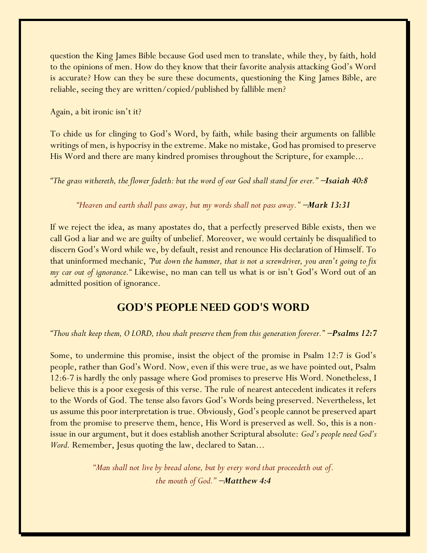question the King James Bible because God used men to translate, while they, by faith, hold to the opinions of men. How do they know that their favorite analysis attacking God's Word is accurate? How can they be sure these documents, questioning the King James Bible, are reliable, seeing they are written/copied/published by fallible men?

Again, a bit ironic isn't it?

To chide us for clinging to God's Word, by faith, while basing their arguments on fallible writings of men, is hypocrisy in the extreme. Make no mistake, God has promised to preserve His Word and there are many kindred promises throughout the Scripture, for example...

*"The grass withereth, the flower fadeth: but the word of our God shall stand for ever."* <sup>−</sup>*Isaiah 40:8*

*"Heaven and earth shall pass away, but my words shall not pass away."* <sup>−</sup>*Mark 13:31*

If we reject the idea, as many apostates do, that a perfectly preserved Bible exists, then we call God a liar and we are guilty of unbelief. Moreover, we would certainly be disqualified to discern God's Word while we, by default, resist and renounce His declaration of Himself. To that uninformed mechanic, *"Put down the hammer, that is not a screwdriver, you aren't going to fix my car out of ignorance."* Likewise, no man can tell us what is or isn't God's Word out of an admitted position of ignorance.

# **GOD'S PEOPLE NEED GOD'S WORD**

*"Thou shalt keep them, O LORD, thou shalt preserve them from this generation forever."* −*Psalms 12:7*

Some, to undermine this promise, insist the object of the promise in Psalm 12:7 is God's people, rather than God's Word. Now, even if this were true, as we have pointed out, Psalm 12:6-7 is hardly the only passage where God promises to preserve His Word. Nonetheless, I believe this is a poor exegesis of this verse. The rule of nearest antecedent indicates it refers to the Words of God. The tense also favors God's Words being preserved. Nevertheless, let us assume this poor interpretation is true. Obviously, God's people cannot be preserved apart from the promise to preserve them, hence, His Word is preserved as well. So, this is a nonissue in our argument, but it does establish another Scriptural absolute: *God's people need God's Word.* Remember, Jesus quoting the law, declared to Satan...

> *"Man shall not live by bread alone, but by every word that proceedeth out of. the mouth of God."* −*Matthew 4:4*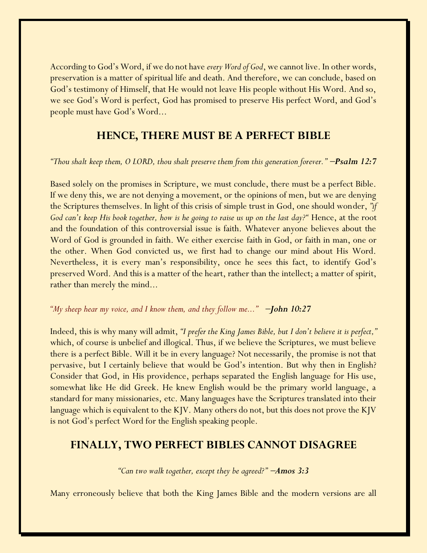According to God's Word, if we do not have *every Word of God*, we cannot live. In other words, preservation is a matter of spiritual life and death. And therefore, we can conclude, based on God's testimony of Himself, that He would not leave His people without His Word. And so, we see God's Word is perfect, God has promised to preserve His perfect Word, and God's people must have God's Word...

# **HENCE, THERE MUST BE A PERFECT BIBLE**

#### *"Thou shalt keep them, O LORD, thou shalt preserve them from this generation forever."* <sup>−</sup>*Psalm 12:7*

Based solely on the promises in Scripture, we must conclude, there must be a perfect Bible. If we deny this, we are not denying a movement, or the opinions of men, but we are denying the Scriptures themselves. In light of this crisis of simple trust in God, one should wonder, *"if God can't keep His book together, how is he going to raise us up on the last day?"* Hence, at the root and the foundation of this controversial issue is faith. Whatever anyone believes about the Word of God is grounded in faith. We either exercise faith in God, or faith in man, one or the other. When God convicted us, we first had to change our mind about His Word. Nevertheless, it is every man's responsibility, once he sees this fact, to identify God's preserved Word. And this is a matter of the heart, rather than the intellect; a matter of spirit, rather than merely the mind...

#### *"My sheep hear my voice, and I know them, and they follow me..."* <sup>−</sup>*John 10:27*

Indeed, this is why many will admit, *"I prefer the King James Bible, but I don't believe it is perfect,"* which, of course is unbelief and illogical. Thus, if we believe the Scriptures, we must believe there is a perfect Bible. Will it be in every language? Not necessarily, the promise is not that pervasive, but I certainly believe that would be God's intention. But why then in English? Consider that God, in His providence, perhaps separated the English language for His use, somewhat like He did Greek. He knew English would be the primary world language, a standard for many missionaries, etc. Many languages have the Scriptures translated into their language which is equivalent to the KJV. Many others do not, but this does not prove the KJV is not God's perfect Word for the English speaking people.

## **FINALLY, TWO PERFECT BIBLES CANNOT DISAGREE**

*"Can two walk together, except they be agreed?"* −*Amos 3:3*

Many erroneously believe that both the King James Bible and the modern versions are all